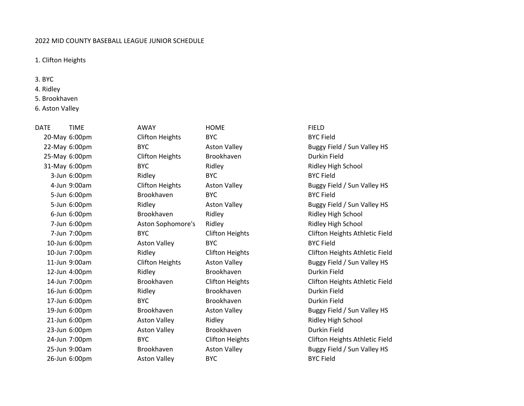## 2022 MID COUNTY BASEBALL LEAGUE JUNIOR SCHEDULE

## 1. Clifton Heights

3. BYC

- 4. Ridley
- 5. Brookhaven
- 6. Aston Valley

## 20-May 6:00pm Clifton Heights BYC BYC Field 25-May 6:00pm Clifton Heights Brookhaven Durkin Field

DATE TIME AWAY HOME FIELD 3-Jun 6:00pm Ridley BYC BYC Field 5-Jun 6:00pm Brookhaven BYC BYC Field 10-Jun 6:00pm Aston Valley BYC BYC Field 12-Jun 4:00pm Ridley Brookhaven Durkin Field 16-Jun 6:00pm Ridley Brookhaven Durkin Field 17-Jun 6:00pm BYC Brookhaven Durkin Field 23-Jun 6:00pm Aston Valley Brookhaven Durkin Field 26-Jun 6:00pm Aston Valley BYC BYC Field

22-May 6:00pm BYC BYC Aston Valley Buggy Field / Sun Valley HS 31-May 6:00pm BYC BYC Ridley Ridley Reserves Ridley High School 4-Jun 9:00am Clifton Heights Aston Valley Buggy Field / Sun Valley HS 5-Jun 6:00pm Ridley Aston Valley Buggy Field / Sun Valley HS 6-Jun 6:00pm Brookhaven Ridley Ridley High School 7-Jun 6:00pm Aston Sophomore's Ridley Ridley High School 7-Jun 7:00pm BYC Clifton Heights Clifton Heights Athletic Field 10-Jun 7:00pm Ridley Clifton Heights Clifton Heights Athletic Field 11-Jun 9:00am Clifton Heights Aston Valley Buggy Field / Sun Valley HS 14-Jun 7:00pm Brookhaven Clifton Heights Clifton Heights Athletic Field 19-Jun 6:00pm Brookhaven Aston Valley Buggy Field / Sun Valley HS 21-Jun 6:00pm Aston Valley Ridley Ridley High School 24-Jun 7:00pm BYC Clifton Heights Clifton Heights Athletic Field 25-Jun 9:00am Brookhaven Aston Valley Buggy Field / Sun Valley HS